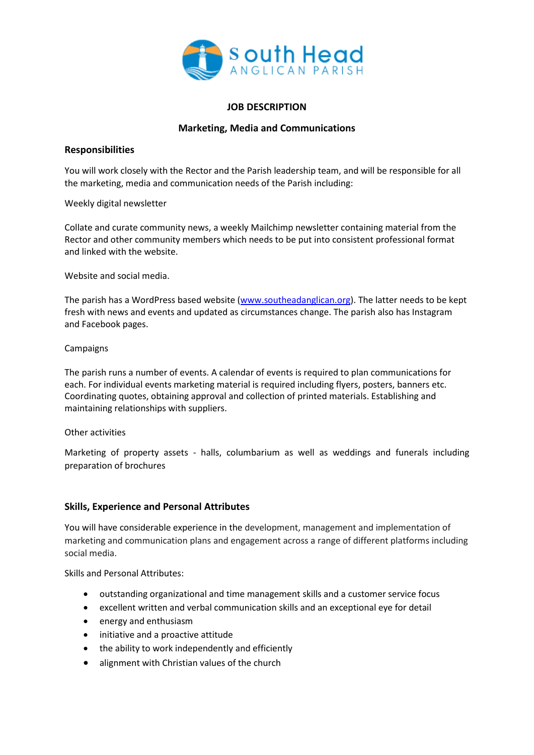

## **JOB DESCRIPTION**

# **Marketing, Media and Communications**

## **Responsibilities**

You will work closely with the Rector and the Parish leadership team, and will be responsible for all the marketing, media and communication needs of the Parish including:

Weekly digital newsletter

Collate and curate community news, a weekly Mailchimp newsletter containing material from the Rector and other community members which needs to be put into consistent professional format and linked with the website.

Website and social media.

The parish has a WordPress based website [\(www.southeadanglican.org\)](http://www.southeadanglican.org/). The latter needs to be kept fresh with news and events and updated as circumstances change. The parish also has Instagram and Facebook pages.

### Campaigns

The parish runs a number of events. A calendar of events is required to plan communications for each. For individual events marketing material is required including flyers, posters, banners etc. Coordinating quotes, obtaining approval and collection of printed materials. Establishing and maintaining relationships with suppliers.

### Other activities

Marketing of property assets - halls, columbarium as well as weddings and funerals including preparation of brochures

## **Skills, Experience and Personal Attributes**

You will have considerable experience in the development, management and implementation of marketing and communication plans and engagement across a range of different platforms including social media.

Skills and Personal Attributes:

- outstanding organizational and time management skills and a customer service focus
- excellent written and verbal communication skills and an exceptional eye for detail
- energy and enthusiasm
- initiative and a proactive attitude
- the ability to work independently and efficiently
- alignment with Christian values of the church